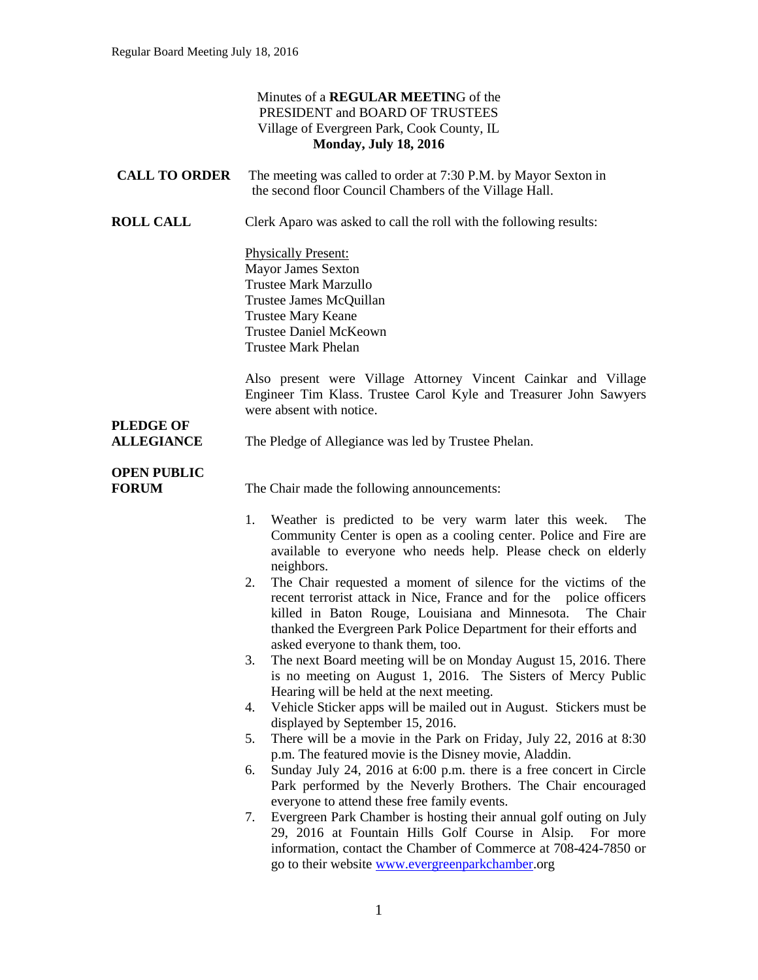### Minutes of a **REGULAR MEETIN**G of the PRESIDENT and BOARD OF TRUSTEES Village of Evergreen Park, Cook County, IL **Monday, July 18, 2016**

| <b>CALL TO ORDER</b> | The meeting was called to order at 7:30 P.M. by Mayor Sexton in |
|----------------------|-----------------------------------------------------------------|
|                      | the second floor Council Chambers of the Village Hall.          |

**ROLL CALL** Clerk Aparo was asked to call the roll with the following results:

Physically Present: Mayor James Sexton Trustee Mark Marzullo Trustee James McQuillan Trustee Mary Keane Trustee Daniel McKeown Trustee Mark Phelan

Also present were Village Attorney Vincent Cainkar and Village Engineer Tim Klass. Trustee Carol Kyle and Treasurer John Sawyers were absent with notice.

**ALLEGIANCE** The Pledge of Allegiance was led by Trustee Phelan.

# **OPEN PUBLIC**

**PLEDGE OF**

**FORUM** The Chair made the following announcements:

- 1. Weather is predicted to be very warm later this week. The Community Center is open as a cooling center. Police and Fire are available to everyone who needs help. Please check on elderly neighbors.
- 2. The Chair requested a moment of silence for the victims of the recent terrorist attack in Nice, France and for the police officers killed in Baton Rouge, Louisiana and Minnesota. The Chair thanked the Evergreen Park Police Department for their efforts and asked everyone to thank them, too.
- 3. The next Board meeting will be on Monday August 15, 2016. There is no meeting on August 1, 2016. The Sisters of Mercy Public Hearing will be held at the next meeting.
- 4. Vehicle Sticker apps will be mailed out in August. Stickers must be displayed by September 15, 2016.
- 5. There will be a movie in the Park on Friday, July 22, 2016 at 8:30 p.m. The featured movie is the Disney movie, Aladdin.
- 6. Sunday July 24, 2016 at 6:00 p.m. there is a free concert in Circle Park performed by the Neverly Brothers. The Chair encouraged everyone to attend these free family events.
- 7. Evergreen Park Chamber is hosting their annual golf outing on July 29, 2016 at Fountain Hills Golf Course in Alsip. For more information, contact the Chamber of Commerce at 708-424-7850 or go to their website [www.evergreenparkchamber.](http://www.evergreenparkchamber/)org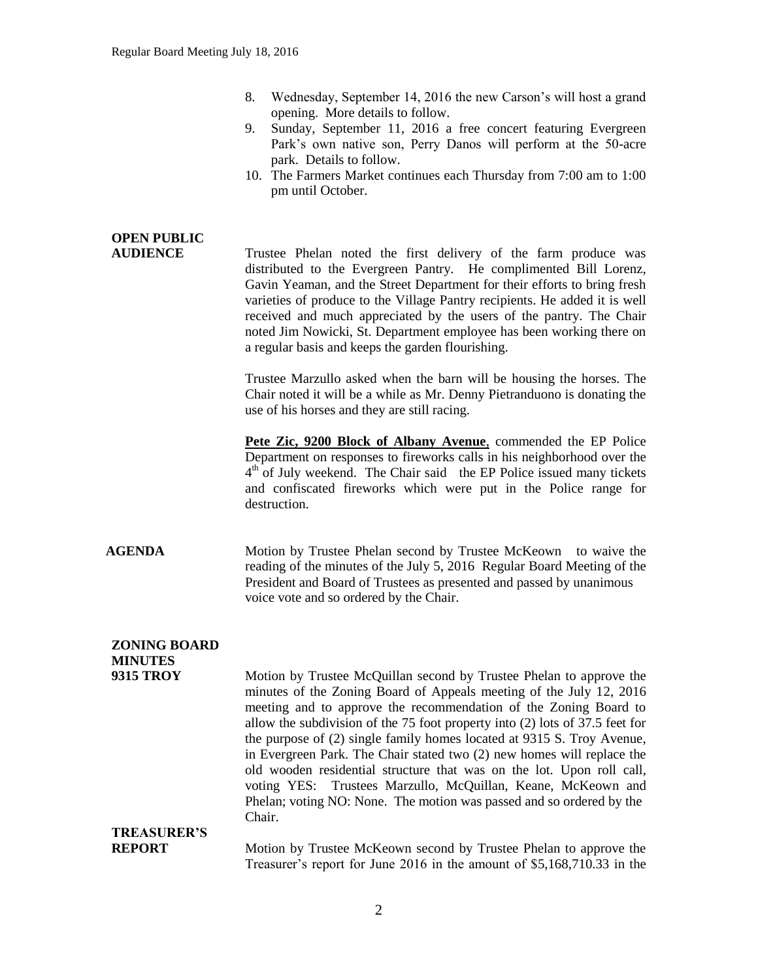| 8. | Wednesday, September 14, 2016 the new Carson's will host a grand |
|----|------------------------------------------------------------------|
|    | opening. More details to follow.                                 |

- 9. Sunday, September 11, 2016 a free concert featuring Evergreen Park's own native son, Perry Danos will perform at the 50-acre park. Details to follow.
- 10. The Farmers Market continues each Thursday from 7:00 am to 1:00 pm until October.

## **OPEN PUBLIC AUDIENCE** Trustee Phelan noted the first delivery of the farm produce was distributed to the Evergreen Pantry. He complimented Bill Lorenz, Gavin Yeaman, and the Street Department for their efforts to bring fresh varieties of produce to the Village Pantry recipients. He added it is well received and much appreciated by the users of the pantry. The Chair noted Jim Nowicki, St. Department employee has been working there on a regular basis and keeps the garden flourishing. Trustee Marzullo asked when the barn will be housing the horses. The Chair noted it will be a while as Mr. Denny Pietranduono is donating the use of his horses and they are still racing. **Pete Zic, 9200 Block of Albany Avenue**, commended the EP Police Department on responses to fireworks calls in his neighborhood over the 4<sup>th</sup> of July weekend. The Chair said the EP Police issued many tickets and confiscated fireworks which were put in the Police range for destruction. **AGENDA** Motion by Trustee Phelan second by Trustee McKeown to waive the reading of the minutes of the July 5, 2016 Regular Board Meeting of the President and Board of Trustees as presented and passed by unanimous voice vote and so ordered by the Chair. **ZONING BOARD MINUTES 9315 TROY** Motion by Trustee McQuillan second by Trustee Phelan to approve the minutes of the Zoning Board of Appeals meeting of the July 12, 2016 meeting and to approve the recommendation of the Zoning Board to allow the subdivision of the 75 foot property into (2) lots of 37.5 feet for the purpose of (2) single family homes located at 9315 S. Troy Avenue, in Evergreen Park. The Chair stated two (2) new homes will replace the old wooden residential structure that was on the lot. Upon roll call, voting YES: Trustees Marzullo, McQuillan, Keane, McKeown and Phelan; voting NO: None. The motion was passed and so ordered by the Chair. **TREASURER'S REPORT** Motion by Trustee McKeown second by Trustee Phelan to approve the Treasurer's report for June 2016 in the amount of \$5,168,710.33 in the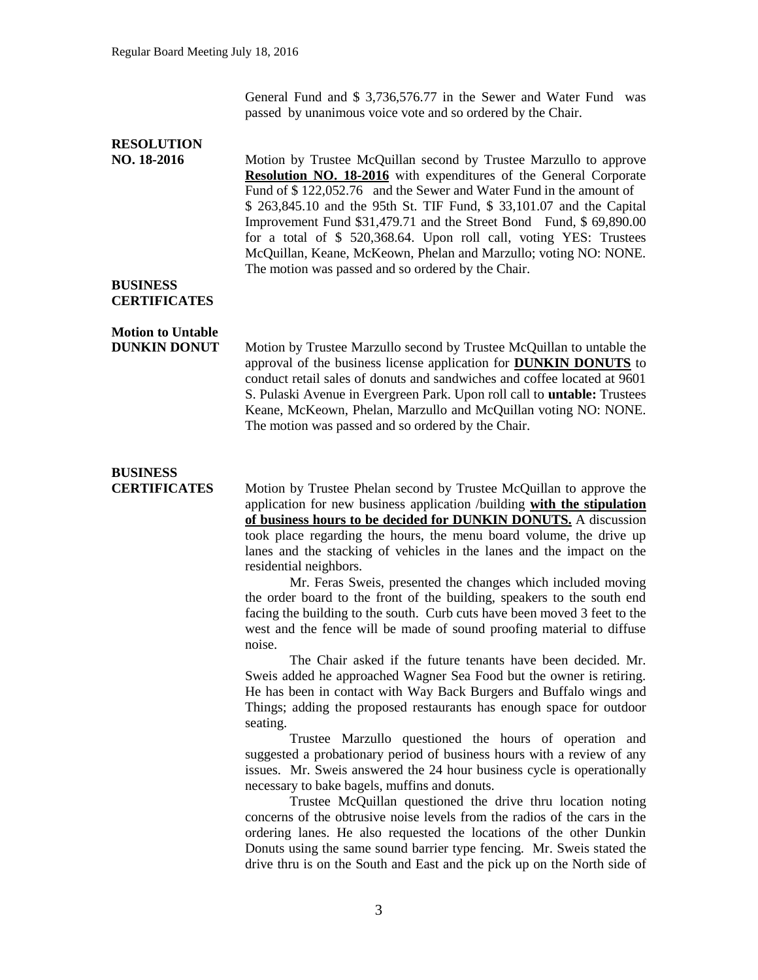General Fund and \$ 3,736,576.77 in the Sewer and Water Fund was passed by unanimous voice vote and so ordered by the Chair.

### **RESOLUTION NO. 18-2016** Motion by Trustee McQuillan second by Trustee Marzullo to approve **Resolution NO. 18-2016** with expenditures of the General Corporate Fund of \$ 122,052.76 and the Sewer and Water Fund in the amount of \$ 263,845.10 and the 95th St. TIF Fund, \$ 33,101.07 and the Capital Improvement Fund \$31,479.71 and the Street Bond Fund, \$ 69,890.00 for a total of \$ 520,368.64. Upon roll call, voting YES: Trustees McQuillan, Keane, McKeown, Phelan and Marzullo; voting NO: NONE. The motion was passed and so ordered by the Chair. **BUSINESS CERTIFICATES Motion to Untable DUNKIN DONUT** Motion by Trustee Marzullo second by Trustee McQuillan to untable the approval of the business license application for **DUNKIN DONUTS** to conduct retail sales of donuts and sandwiches and coffee located at 9601 S. Pulaski Avenue in Evergreen Park. Upon roll call to **untable:** Trustees Keane, McKeown, Phelan, Marzullo and McQuillan voting NO: NONE. The motion was passed and so ordered by the Chair. **BUSINESS CERTIFICATES** Motion by Trustee Phelan second by Trustee McQuillan to approve the application for new business application /building **with the stipulation of business hours to be decided for DUNKIN DONUTS.** A discussion took place regarding the hours, the menu board volume, the drive up lanes and the stacking of vehicles in the lanes and the impact on the residential neighbors. Mr. Feras Sweis, presented the changes which included moving the order board to the front of the building, speakers to the south end facing the building to the south. Curb cuts have been moved 3 feet to the west and the fence will be made of sound proofing material to diffuse noise. The Chair asked if the future tenants have been decided. Mr. Sweis added he approached Wagner Sea Food but the owner is retiring. He has been in contact with Way Back Burgers and Buffalo wings and Things; adding the proposed restaurants has enough space for outdoor seating. Trustee Marzullo questioned the hours of operation and suggested a probationary period of business hours with a review of any issues. Mr. Sweis answered the 24 hour business cycle is operationally necessary to bake bagels, muffins and donuts. Trustee McQuillan questioned the drive thru location noting

concerns of the obtrusive noise levels from the radios of the cars in the ordering lanes. He also requested the locations of the other Dunkin Donuts using the same sound barrier type fencing. Mr. Sweis stated the drive thru is on the South and East and the pick up on the North side of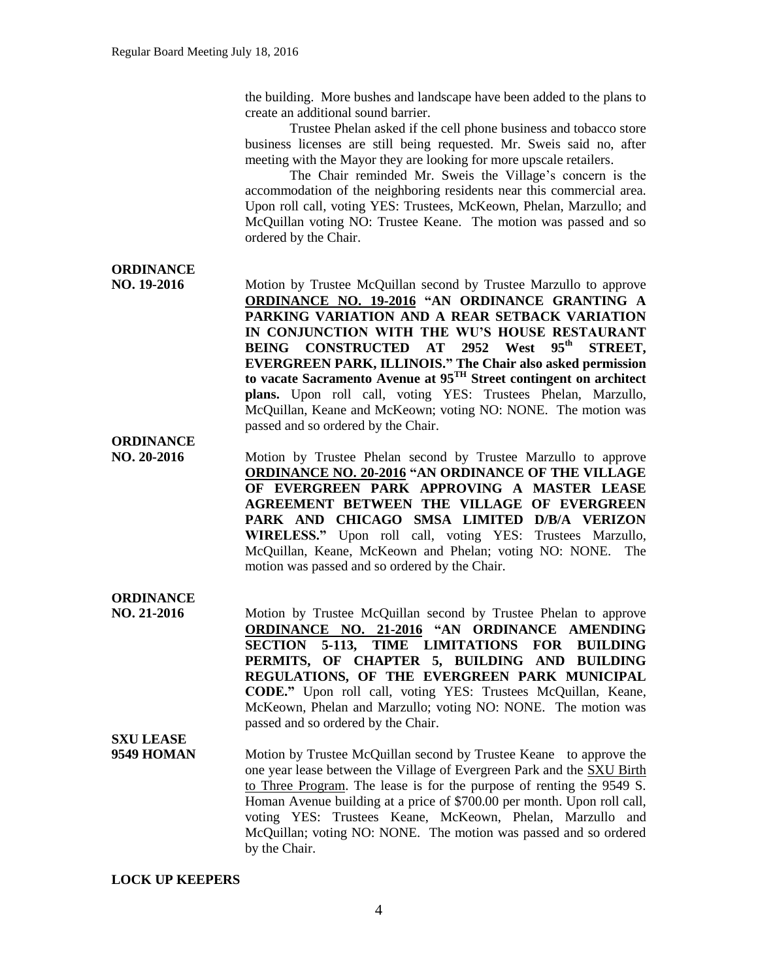the building. More bushes and landscape have been added to the plans to create an additional sound barrier.

Trustee Phelan asked if the cell phone business and tobacco store business licenses are still being requested. Mr. Sweis said no, after meeting with the Mayor they are looking for more upscale retailers.

The Chair reminded Mr. Sweis the Village's concern is the accommodation of the neighboring residents near this commercial area. Upon roll call, voting YES: Trustees, McKeown, Phelan, Marzullo; and McQuillan voting NO: Trustee Keane. The motion was passed and so ordered by the Chair.

## **ORDINANCE**

**NO. 19-2016** Motion by Trustee McQuillan second by Trustee Marzullo to approve **ORDINANCE NO. 19-2016 "AN ORDINANCE GRANTING A PARKING VARIATION AND A REAR SETBACK VARIATION IN CONJUNCTION WITH THE WU'S HOUSE RESTAURANT BEING CONSTRUCTED AT 2952 West 95th STREET, EVERGREEN PARK, ILLINOIS." The Chair also asked permission to vacate Sacramento Avenue at 95TH Street contingent on architect plans.** Upon roll call, voting YES: Trustees Phelan, Marzullo, McQuillan, Keane and McKeown; voting NO: NONE. The motion was passed and so ordered by the Chair.

# **ORDINANCE**

**NO. 20-2016** Motion by Trustee Phelan second by Trustee Marzullo to approve **ORDINANCE NO. 20-2016 "AN ORDINANCE OF THE VILLAGE OF EVERGREEN PARK APPROVING A MASTER LEASE AGREEMENT BETWEEN THE VILLAGE OF EVERGREEN PARK AND CHICAGO SMSA LIMITED D/B/A VERIZON WIRELESS."** Upon roll call, voting YES: Trustees Marzullo, McQuillan, Keane, McKeown and Phelan; voting NO: NONE. The motion was passed and so ordered by the Chair.

#### **ORDINANCE NO. 21-2016** Motion by Trustee McQuillan second by Trustee Phelan to approve **ORDINANCE NO. 21-2016 "AN ORDINANCE AMENDING SECTION 5-113, TIME LIMITATIONS FOR BUILDING PERMITS, OF CHAPTER 5, BUILDING AND BUILDING REGULATIONS, OF THE EVERGREEN PARK MUNICIPAL CODE."** Upon roll call, voting YES: Trustees McQuillan, Keane, McKeown, Phelan and Marzullo; voting NO: NONE. The motion was passed and so ordered by the Chair. **SXU LEASE**

**9549 HOMAN** Motion by Trustee McQuillan second by Trustee Keane to approve the one year lease between the Village of Evergreen Park and the SXU Birth to Three Program. The lease is for the purpose of renting the 9549 S. Homan Avenue building at a price of \$700.00 per month. Upon roll call, voting YES: Trustees Keane, McKeown, Phelan, Marzullo and McQuillan; voting NO: NONE. The motion was passed and so ordered by the Chair.

#### **LOCK UP KEEPERS**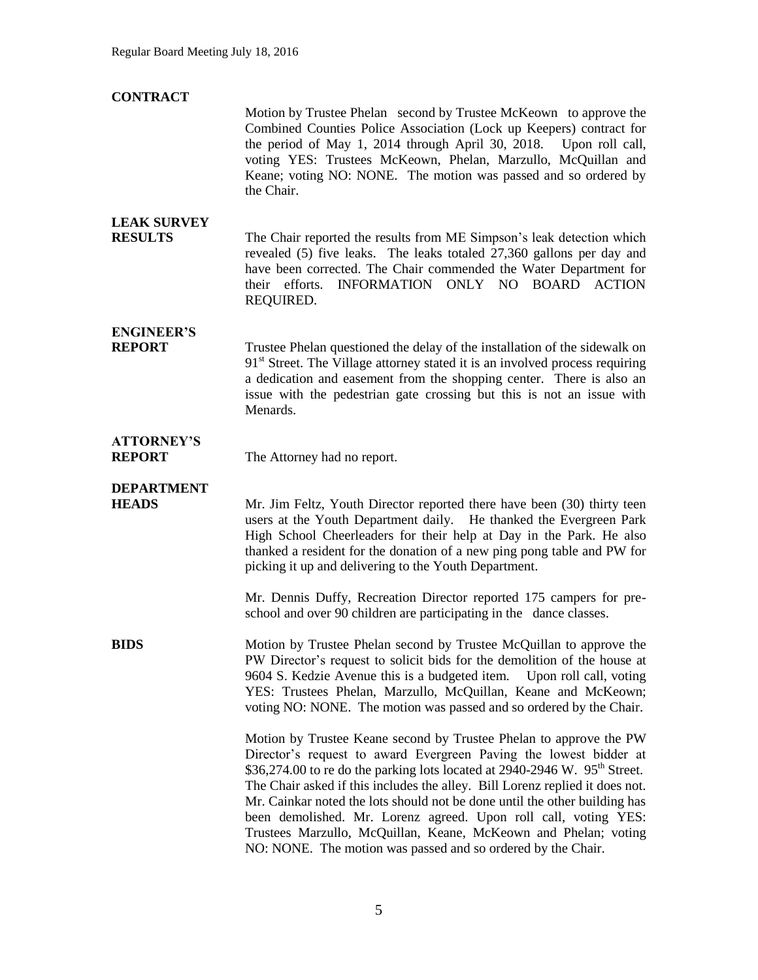| <b>CONTRACT</b>                      |                                                                                                                                                                                                                                                                                                                                                                                                                                                                                                                                                                                                       |
|--------------------------------------|-------------------------------------------------------------------------------------------------------------------------------------------------------------------------------------------------------------------------------------------------------------------------------------------------------------------------------------------------------------------------------------------------------------------------------------------------------------------------------------------------------------------------------------------------------------------------------------------------------|
|                                      | Motion by Trustee Phelan second by Trustee McKeown to approve the<br>Combined Counties Police Association (Lock up Keepers) contract for<br>the period of May 1, 2014 through April 30, 2018. Upon roll call,<br>voting YES: Trustees McKeown, Phelan, Marzullo, McQuillan and<br>Keane; voting NO: NONE. The motion was passed and so ordered by<br>the Chair.                                                                                                                                                                                                                                       |
| <b>LEAK SURVEY</b><br><b>RESULTS</b> | The Chair reported the results from ME Simpson's leak detection which<br>revealed (5) five leaks. The leaks totaled 27,360 gallons per day and<br>have been corrected. The Chair commended the Water Department for<br>their efforts. INFORMATION ONLY NO BOARD ACTION<br>REQUIRED.                                                                                                                                                                                                                                                                                                                   |
| <b>ENGINEER'S</b><br><b>REPORT</b>   | Trustee Phelan questioned the delay of the installation of the sidewalk on<br>91 <sup>st</sup> Street. The Village attorney stated it is an involved process requiring<br>a dedication and easement from the shopping center. There is also an<br>issue with the pedestrian gate crossing but this is not an issue with<br>Menards.                                                                                                                                                                                                                                                                   |
| <b>ATTORNEY'S</b><br><b>REPORT</b>   | The Attorney had no report.                                                                                                                                                                                                                                                                                                                                                                                                                                                                                                                                                                           |
| <b>DEPARTMENT</b><br><b>HEADS</b>    | Mr. Jim Feltz, Youth Director reported there have been (30) thirty teen<br>users at the Youth Department daily. He thanked the Evergreen Park<br>High School Cheerleaders for their help at Day in the Park. He also<br>thanked a resident for the donation of a new ping pong table and PW for<br>picking it up and delivering to the Youth Department.                                                                                                                                                                                                                                              |
|                                      | Mr. Dennis Duffy, Recreation Director reported 175 campers for pre-<br>school and over 90 children are participating in the dance classes.                                                                                                                                                                                                                                                                                                                                                                                                                                                            |
| <b>BIDS</b>                          | Motion by Trustee Phelan second by Trustee McQuillan to approve the<br>PW Director's request to solicit bids for the demolition of the house at<br>9604 S. Kedzie Avenue this is a budgeted item.<br>Upon roll call, voting<br>YES: Trustees Phelan, Marzullo, McQuillan, Keane and McKeown;<br>voting NO: NONE. The motion was passed and so ordered by the Chair.                                                                                                                                                                                                                                   |
|                                      | Motion by Trustee Keane second by Trustee Phelan to approve the PW<br>Director's request to award Evergreen Paving the lowest bidder at<br>\$36,274.00 to re do the parking lots located at 2940-2946 W. 95 <sup>th</sup> Street.<br>The Chair asked if this includes the alley. Bill Lorenz replied it does not.<br>Mr. Cainkar noted the lots should not be done until the other building has<br>been demolished. Mr. Lorenz agreed. Upon roll call, voting YES:<br>Trustees Marzullo, McQuillan, Keane, McKeown and Phelan; voting<br>NO: NONE. The motion was passed and so ordered by the Chair. |